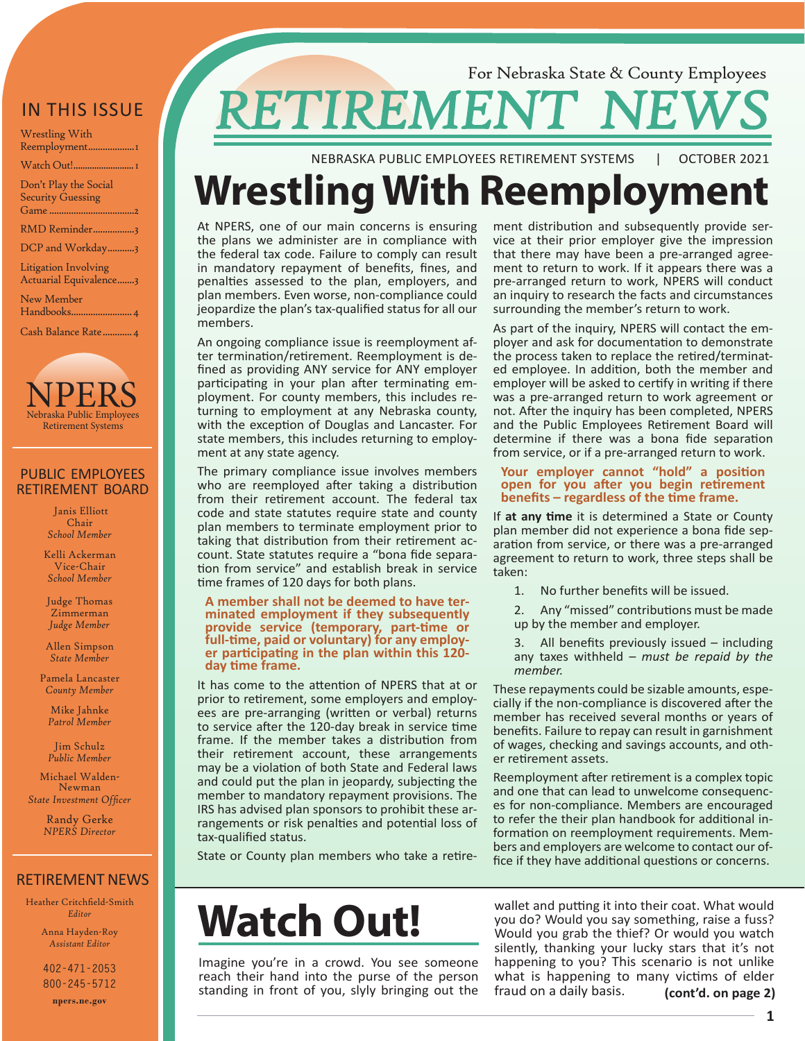### IN THIS ISSUE

| Wrestling With |
|----------------|
| Reemployment1  |
| Watch Out!1    |

[Don't Play the Social](#page-1-0)  [Security Guessing](#page-1-0)  [Game](#page-1-0) [...................................2](#page-1-0)

[RMD Reminder.................3](#page-2-0)

[DCP and Workday...........3](#page-2-0)

[Litigation Involving](#page-2-0)  [Actuarial Equivalence.......3](#page-2-0)

[New Member](#page-3-0) [Handbooks.........................4](#page-3-0)

[Cash Balance Rate............4](#page-3-0)



#### PUBLIC EMPLOYEES RETIREMENT BOARD

 Janis Elliott Chair *School Member*

Kelli Ackerman Vice-Chair *School Member*

Judge Thomas Zimmerman *Judge Member*

Allen Simpson *State Member*

Pamela Lancaster *County Member*

Mike Jahnke *Patrol Member*

Jim Schulz *Public Member*

Michael Walden-Newman *State Investment Officer*

> Randy Gerke *NPERS Director*

#### RETIREMENT NEWS

Heather Critchfield-Smith *Editor*

> Anna Hayden-Roy *Assistant Editor*

**402-471-2053 800-245-5712**

**npers.ne.gov**

### For Nebraska State & County Employees **RETIREMENT NEW**

NEBRASKA PUBLIC EMPLOYEES RETIREMENT SYSTEMS | OCTOBER 2021

# **Wrestling With Reemployment**

At NPERS, one of our main concerns is ensuring the plans we administer are in compliance with the federal tax code. Failure to comply can result in mandatory repayment of benefits, fines, and penalties assessed to the plan, employers, and plan members. Even worse, non-compliance could jeopardize the plan's tax-qualified status for all our members.

An ongoing compliance issue is reemployment after termination/retirement. Reemployment is defined as providing ANY service for ANY employer participating in your plan after terminating employment. For county members, this includes returning to employment at any Nebraska county, with the exception of Douglas and Lancaster. For state members, this includes returning to employment at any state agency.

The primary compliance issue involves members who are reemployed after taking a distribution from their retirement account. The federal tax code and state statutes require state and county plan members to terminate employment prior to taking that distribution from their retirement account. State statutes require a "bona fide separation from service" and establish break in service time frames of 120 days for both plans.

#### **A member shall not be deemed to have ter- minated employment if they subsequently provide service (temporary, part-time or full-time, paid or voluntary) for any employ- er participating in the plan within this 120 day time frame.**

It has come to the attention of NPERS that at or prior to retirement, some employers and employees are pre-arranging (written or verbal) returns to service after the 120-day break in service time frame. If the member takes a distribution from their retirement account, these arrangements may be a violation of both State and Federal laws and could put the plan in jeopardy, subjecting the member to mandatory repayment provisions. The IRS has advised plan sponsors to prohibit these arrangements or risk penalties and potential loss of tax-qualified status.

State or County plan members who take a retire-

## **Watch Out!**

Imagine you're in a crowd. You see someone reach their hand into the purse of the person standing in front of you, slyly bringing out the ment distribution and subsequently provide service at their prior employer give the impression that there may have been a pre-arranged agreement to return to work. If it appears there was a pre-arranged return to work, NPERS will conduct an inquiry to research the facts and circumstances surrounding the member's return to work.

As part of the inquiry, NPERS will contact the employer and ask for documentation to demonstrate the process taken to replace the retired/terminated employee. In addition, both the member and employer will be asked to certify in writing if there was a pre-arranged return to work agreement or not. After the inquiry has been completed, NPERS and the Public Employees Retirement Board will determine if there was a bona fide separation from service, or if a pre-arranged return to work.

#### **Your employer cannot "hold" a position open for you after you begin retirement benefits – regardless of the time frame.**

If **at any time** it is determined a State or County plan member did not experience a bona fide separation from service, or there was a pre-arranged agreement to return to work, three steps shall be taken:

- 1. No further benefits will be issued.
- 2. Any "missed" contributions must be made up by the member and employer.
- 3. All benefits previously issued including any taxes withheld – *must be repaid by the member.*

These repayments could be sizable amounts, especially if the non-compliance is discovered after the member has received several months or years of benefits. Failure to repay can result in garnishment of wages, checking and savings accounts, and other retirement assets.

Reemployment after retirement is a complex topic and one that can lead to unwelcome consequences for non-compliance. Members are encouraged to refer the their plan handbook for additional information on reemployment requirements. Members and employers are welcome to contact our office if they have additional questions or concerns.

wallet and putting it into their coat. What would you do? Would you say something, raise a fuss? Would you grab the thief? Or would you watch silently, thanking your lucky stars that it's not happening to you? This scenario is not unlike what is happening to many victims of elder fraud on a daily basis. **(cont'd. on page 2)**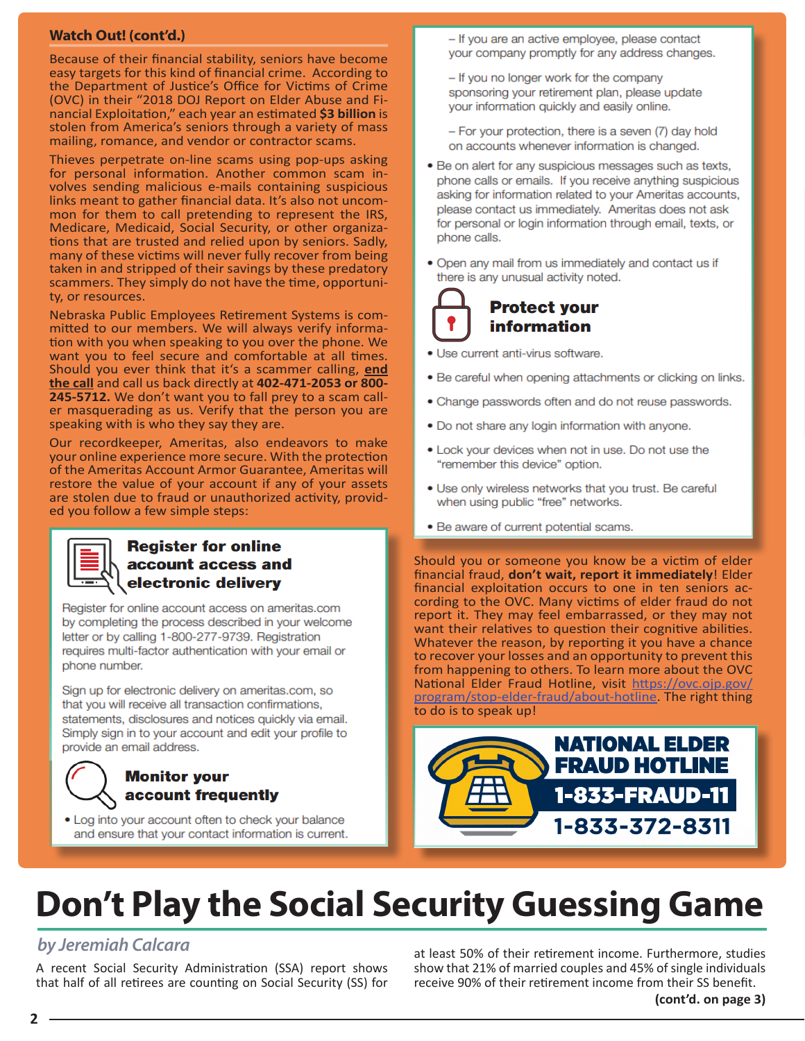#### <span id="page-1-0"></span>**Watch Out! (cont'd.)**

Because of their financial stability, seniors have become easy targets for this kind of financial crime. According to the Department of Justice's Office for Victims of Crime (OVC) in their "2018 DOJ Report on Elder Abuse and Financial Exploitation," each year an estimated **\$3 billion** is stolen from America's seniors through a variety of mass mailing, romance, and vendor or contractor scams.

Thieves perpetrate on-line scams using pop-ups asking for personal information. Another common scam involves sending malicious e-mails containing suspicious links meant to gather financial data. It's also not uncommon for them to call pretending to represent the IRS, Medicare, Medicaid, Social Security, or other organizations that are trusted and relied upon by seniors. Sadly, many of these victims will never fully recover from being taken in and stripped of their savings by these predatory scammers. They simply do not have the time, opportunity, or resources.

Nebraska Public Employees Retirement Systems is committed to our members. We will always verify informa- tion with you when speaking to you over the phone. We want you to feel secure and comfortable at all times. Should you ever think that it's a scammer calling, **end the call** and call us back directly at **402-471-2053 or 800- 245-5712.** We don't want you to fall prey to a scam caller masquerading as us. Verify that the person you are speaking with is who they say they are.

Our recordkeeper, Ameritas, also endeavors to make your online experience more secure. With the protection of the Ameritas Account Armor Guarantee, Ameritas will restore the value of your account if any of your assets are stolen due to fraud or unauthorized activity, provided you follow a few simple steps:

#### **Register for online** account access and electronic delivery

Register for online account access on ameritas.com by completing the process described in your welcome letter or by calling 1-800-277-9739. Registration requires multi-factor authentication with your email or phone number.

Sign up for electronic delivery on ameritas.com, so that you will receive all transaction confirmations, statements, disclosures and notices quickly via email. Simply sign in to your account and edit your profile to provide an email address.

#### **Monitor your** account frequently

• Log into your account often to check your balance and ensure that your contact information is current.

- If you are an active employee, please contact your company promptly for any address changes.
- If you no longer work for the company sponsoring your retirement plan, please update your information quickly and easily online.

- For your protection, there is a seven (7) day hold on accounts whenever information is changed.

- . Be on alert for any suspicious messages such as texts, phone calls or emails. If you receive anything suspicious asking for information related to your Ameritas accounts, please contact us immediately. Ameritas does not ask for personal or login information through email, texts, or phone calls.
- Open any mail from us immediately and contact us if there is any unusual activity noted.



- · Use current anti-virus software.
- Be careful when opening attachments or clicking on links.
- Change passwords often and do not reuse passwords.
- . Do not share any login information with anyone.
- . Lock your devices when not in use. Do not use the "remember this device" option.
- Use only wireless networks that you trust. Be careful when using public "free" networks.
- Be aware of current potential scams.

Should you or someone you know be a victim of elder financial fraud, **don't wait, report it immediately**! Elder financial exploitation occurs to one in ten seniors according to the OVC. Many victims of elder fraud do not report it. They may feel embarrassed, or they may not want their relatives to question their cognitive abilities. Whatever the reason, by reporting it you have a chance to recover your losses and an opportunity to prevent this from happening to others. To learn more about the OVC National Elder Fraud Hotline, visit [https://ovc.ojp.gov/](https://ovc.ojp.gov/program/stop-elder-fraud/about-hotline) [program/stop-elder-fraud/about-hotline](https://ovc.ojp.gov/program/stop-elder-fraud/about-hotline). The right thing to do is to speak up!



### **Don't Play the Social Security Guessing Game**

### *by Jeremiah Calcara*

A recent Social Security Administration (SSA) report shows that half of all retirees are counting on Social Security (SS) for at least 50% of their retirement income. Furthermore, studies show that 21% of married couples and 45% of single individuals receive 90% of their retirement income from their SS benefit.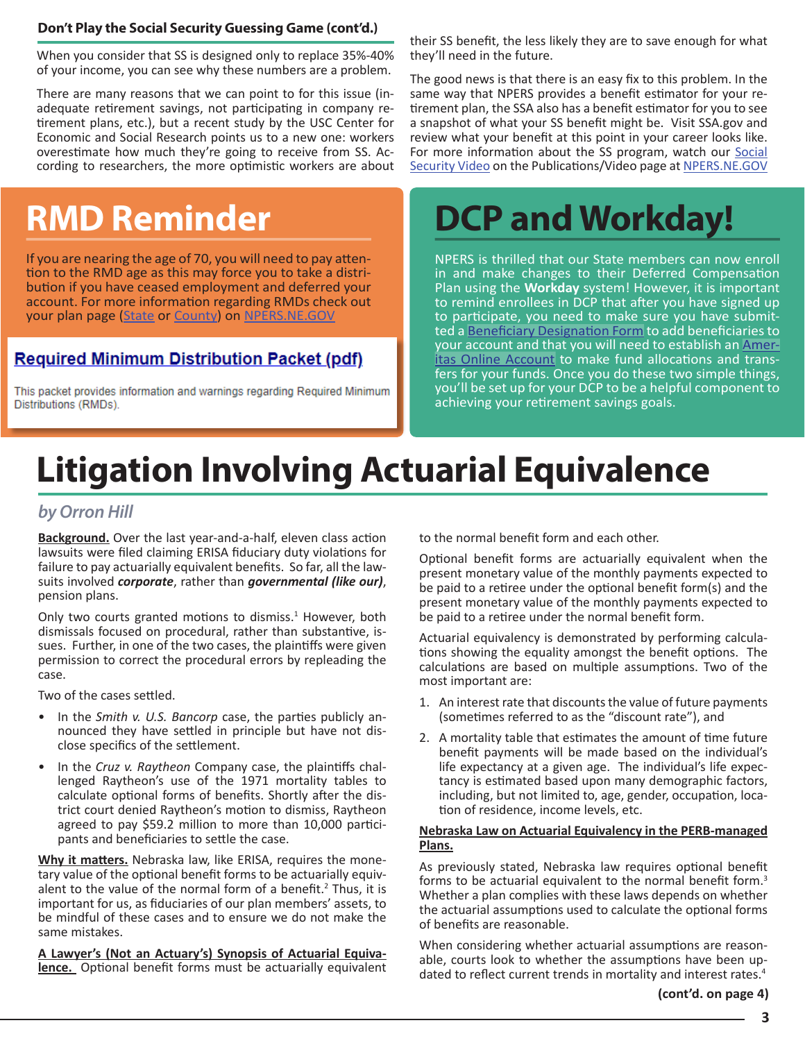#### <span id="page-2-0"></span>**Don't Play the Social Security Guessing Game (cont'd.)**

When you consider that SS is designed only to replace 35%-40% of your income, you can see why these numbers are a problem.

There are many reasons that we can point to for this issue (inadequate retirement savings, not participating in company retirement plans, etc.), but a recent study by the USC Center for Economic and Social Research points us to a new one: workers overestimate how much they're going to receive from SS. According to researchers, the more optimistic workers are about

If you are nearing the age of 70, you will need to pay atten- tion to the RMD age as this may force you to take a distribution if you have ceased employment and deferred your account. For more information regarding RMDs check out your plan page [\(State](https://npers.ne.gov/SelfService/public/planInformation/state/statePlanInfo.jsp) or [County](https://npers.ne.gov/SelfService/public/planInformation/county/countyPlanInfo.jsp)) on [NPERS.NE.GOV](https://npers.ne.gov/SelfService/index.jsp)

### **Required Minimum Distribution Packet (pdf)**

This packet provides information and warnings regarding Required Minimum Distributions (RMDs).

their SS benefit, the less likely they are to save enough for what they'll need in the future.

The good news is that there is an easy fix to this problem. In the same way that NPERS provides a benefit estimator for your retirement plan, the SSA also has a benefit estimator for you to see a snapshot of what your SS benefit might be. Visit SSA.gov and review what your benefit at this point in your career looks like. For more information about the SS program, watch our Social [Security Video](https://youtu.be/EF5y51CGsJM) on the Publications/Video page at [NPERS.NE.GOV](http://NPERS.NE.GOV )

## **RMD Reminder DCP and Workday!**

NPERS is thrilled that our State members can now enroll in and make changes to their Deferred Compensation Plan using the **Workday** system! However, it is important to remind enrollees in DCP that after you have signed up to participate, you need to make sure you have submitted a [Beneficiary Designation Form](https://npers.ne.gov/SelfService/public/forms/membershipForms/beneficiary.pdf) to add beneficiaries to your account and that you will need to establish an **Amer-**<br>[itas Online Account](https://npers.ne.gov/SelfService/public/aboutus/news1.jsp) to make fund allocations and trans-<br>fers for your funds. Once you do these two simple things, you'll be set up for your DCP to be a helpful component to achieving your retirement savings goals.

### **Litigation Involving Actuarial Equivalence**

#### *by Orron Hill*

**Background.** Over the last year-and-a-half, eleven class action lawsuits were filed claiming ERISA fiduciary duty violations for failure to pay actuarially equivalent benefits. So far, all the lawsuits involved *corporate*, rather than *governmental (like our)*, pension plans.

Only two courts granted motions to dismiss.<sup>1</sup> However, both dismissals focused on procedural, rather than substantive, issues. Further, in one of the two cases, the plaintiffs were given permission to correct the procedural errors by repleading the case.

Two of the cases settled.

- In the *Smith v. U.S. Bancorp* case, the parties publicly announced they have settled in principle but have not disclose specifics of the settlement.
- In the *Cruz v. Raytheon* Company case, the plaintiffs challenged Raytheon's use of the 1971 mortality tables to calculate optional forms of benefits. Shortly after the district court denied Raytheon's motion to dismiss, Raytheon agreed to pay \$59.2 million to more than 10,000 participants and beneficiaries to settle the case.

**Why it matters.** Nebraska law, like ERISA, requires the monetary value of the optional benefit forms to be actuarially equivalent to the value of the normal form of a benefit.<sup>2</sup> Thus, it is important for us, as fiduciaries of our plan members' assets, to be mindful of these cases and to ensure we do not make the same mistakes.

**A Lawyer's (Not an Actuary's) Synopsis of Actuarial Equivalence.** Optional benefit forms must be actuarially equivalent to the normal benefit form and each other.

Optional benefit forms are actuarially equivalent when the present monetary value of the monthly payments expected to be paid to a retiree under the optional benefit form(s) and the present monetary value of the monthly payments expected to be paid to a retiree under the normal benefit form.

Actuarial equivalency is demonstrated by performing calculations showing the equality amongst the benefit options. The calculations are based on multiple assumptions. Two of the most important are:

- 1. An interest rate that discounts the value of future payments (sometimes referred to as the "discount rate"), and
- 2. A mortality table that estimates the amount of time future benefit payments will be made based on the individual's life expectancy at a given age. The individual's life expectancy is estimated based upon many demographic factors, including, but not limited to, age, gender, occupation, location of residence, income levels, etc.

#### **Nebraska Law on Actuarial Equivalency in the PERB-managed Plans.**

As previously stated, Nebraska law requires optional benefit forms to be actuarial equivalent to the normal benefit form.<sup>3</sup> Whether a plan complies with these laws depends on whether the actuarial assumptions used to calculate the optional forms of benefits are reasonable.

When considering whether actuarial assumptions are reasonable, courts look to whether the assumptions have been updated to reflect current trends in mortality and interest rates.<sup>4</sup>